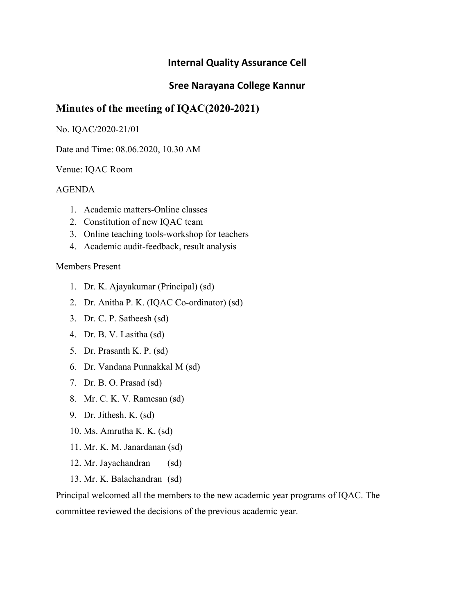## Sree Narayana College Kannur

# Minutes of the meeting of IQAC(2020-2021)

#### No. IQAC/2020-21/01

Date and Time: 08.06.2020, 10.30 AM

#### Venue: IQAC Room

#### AGENDA

- 1. Academic matters-Online classes
- 2. Constitution of new IQAC team
- 3. Online teaching tools-workshop for teachers
- 4. Academic audit-feedback, result analysis

### Members Present

- 1. Dr. K. Ajayakumar (Principal) (sd)
- 2. Dr. Anitha P. K. (IQAC Co-ordinator) (sd)
- 3. Dr. C. P. Satheesh (sd)
- 4. Dr. B. V. Lasitha (sd)
- 5. Dr. Prasanth K. P. (sd)
- 6. Dr. Vandana Punnakkal M (sd)
- 7. Dr. B. O. Prasad (sd)
- 8. Mr. C. K. V. Ramesan (sd)
- 9. Dr. Jithesh. K. (sd)
- 10. Ms. Amrutha K. K. (sd)
- 11. Mr. K. M. Janardanan (sd)
- 12. Mr. Jayachandran (sd)
- 13. Mr. K. Balachandran (sd)

Principal welcomed all the members to the new academic year programs of IQAC. The committee reviewed the decisions of the previous academic year.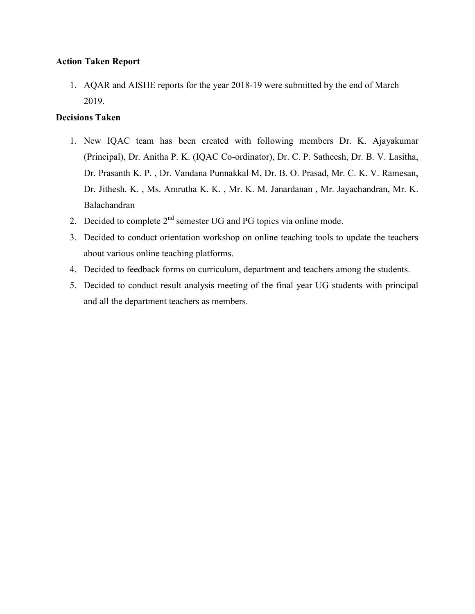### Action Taken Report

1. AQAR and AISHE reports for the year 2018-19 were submitted by the end of March 2019.

## Decisions Taken

- 1. New IQAC team has been created with following members Dr. K. Ajayakumar (Principal), Dr. Anitha P. K. (IQAC Co-ordinator), Dr. C. P. Satheesh, Dr. B. V. Lasitha, Dr. Prasanth K. P. , Dr. Vandana Punnakkal M, Dr. B. O. Prasad, Mr. C. K. V. Ramesan, Dr. Jithesh. K. , Ms. Amrutha K. K. , Mr. K. M. Janardanan , Mr. Jayachandran, Mr. K. Balachandran
- 2. Decided to complete  $2<sup>nd</sup>$  semester UG and PG topics via online mode.
- 3. Decided to conduct orientation workshop on online teaching tools to update the teachers about various online teaching platforms.
- 4. Decided to feedback forms on curriculum, department and teachers among the students.
- 5. Decided to conduct result analysis meeting of the final year UG students with principal and all the department teachers as members.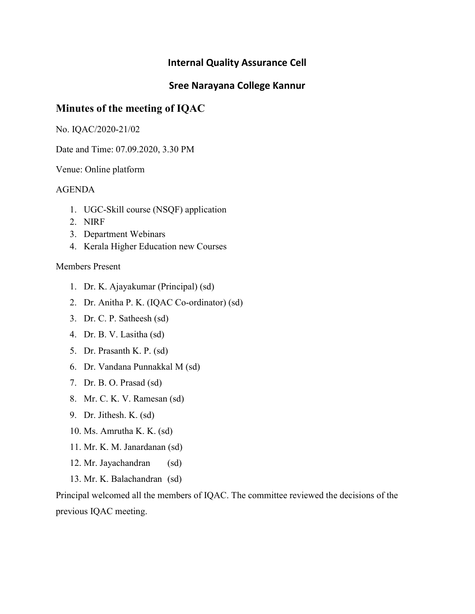## Sree Narayana College Kannur

# Minutes of the meeting of IQAC

No. IQAC/2020-21/02

Date and Time: 07.09.2020, 3.30 PM

Venue: Online platform

### AGENDA

- 1. UGC-Skill course (NSQF) application
- 2. NIRF
- 3. Department Webinars
- 4. Kerala Higher Education new Courses

### Members Present

- 1. Dr. K. Ajayakumar (Principal) (sd)
- 2. Dr. Anitha P. K. (IQAC Co-ordinator) (sd)
- 3. Dr. C. P. Satheesh (sd)
- 4. Dr. B. V. Lasitha (sd)
- 5. Dr. Prasanth K. P. (sd)
- 6. Dr. Vandana Punnakkal M (sd)
- 7. Dr. B. O. Prasad (sd)
- 8. Mr. C. K. V. Ramesan (sd)
- 9. Dr. Jithesh. K. (sd)
- 10. Ms. Amrutha K. K. (sd)
- 11. Mr. K. M. Janardanan (sd)
- 12. Mr. Jayachandran (sd)
- 13. Mr. K. Balachandran (sd)

Principal welcomed all the members of IQAC. The committee reviewed the decisions of the previous IQAC meeting.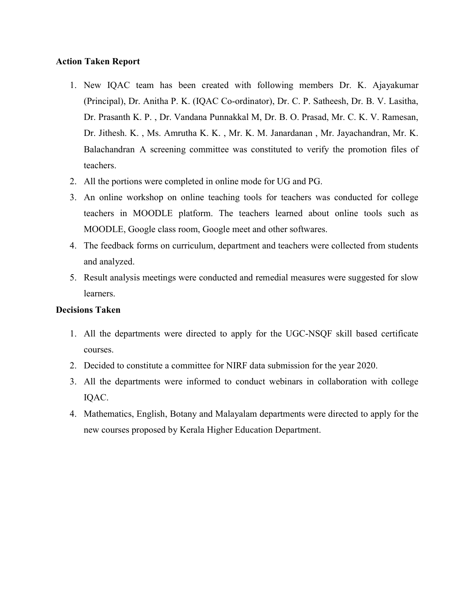### Action Taken Report

- 1. New IQAC team has been created with following members Dr. K. Ajayakumar (Principal), Dr. Anitha P. K. (IQAC Co-ordinator), Dr. C. P. Satheesh, Dr. B. V. Lasitha, Dr. Prasanth K. P. , Dr. Vandana Punnakkal M, Dr. B. O. Prasad, Mr. C. K. V. Ramesan, Dr. Jithesh. K. , Ms. Amrutha K. K. , Mr. K. M. Janardanan , Mr. Jayachandran, Mr. K. Balachandran A screening committee was constituted to verify the promotion files of teachers.
- 2. All the portions were completed in online mode for UG and PG.
- 3. An online workshop on online teaching tools for teachers was conducted for college teachers in MOODLE platform. The teachers learned about online tools such as MOODLE, Google class room, Google meet and other softwares.
- 4. The feedback forms on curriculum, department and teachers were collected from students and analyzed.
- 5. Result analysis meetings were conducted and remedial measures were suggested for slow learners.

### Decisions Taken

- 1. All the departments were directed to apply for the UGC-NSQF skill based certificate courses.
- 2. Decided to constitute a committee for NIRF data submission for the year 2020.
- 3. All the departments were informed to conduct webinars in collaboration with college IQAC.
- 4. Mathematics, English, Botany and Malayalam departments were directed to apply for the new courses proposed by Kerala Higher Education Department.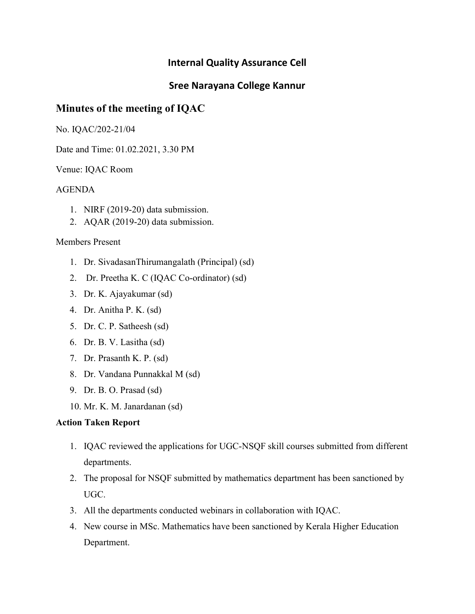## Sree Narayana College Kannur

# Minutes of the meeting of IQAC

No. IQAC/202-21/04

Date and Time: 01.02.2021, 3.30 PM

Venue: IQAC Room

## AGENDA

- 1. NIRF (2019-20) data submission.
- 2. AQAR (2019-20) data submission.

### Members Present

- 1. Dr. SivadasanThirumangalath (Principal) (sd)
- 2. Dr. Preetha K. C (IQAC Co-ordinator) (sd)
- 3. Dr. K. Ajayakumar (sd)
- 4. Dr. Anitha P. K. (sd)
- 5. Dr. C. P. Satheesh (sd)
- 6. Dr. B. V. Lasitha (sd)
- 7. Dr. Prasanth K. P. (sd)
- 8. Dr. Vandana Punnakkal M (sd)
- 9. Dr. B. O. Prasad (sd)
- 10. Mr. K. M. Janardanan (sd)

### Action Taken Report

- 1. IQAC reviewed the applications for UGC-NSQF skill courses submitted from different departments.
- 2. The proposal for NSQF submitted by mathematics department has been sanctioned by UGC.
- 3. All the departments conducted webinars in collaboration with IQAC.
- 4. New course in MSc. Mathematics have been sanctioned by Kerala Higher Education Department.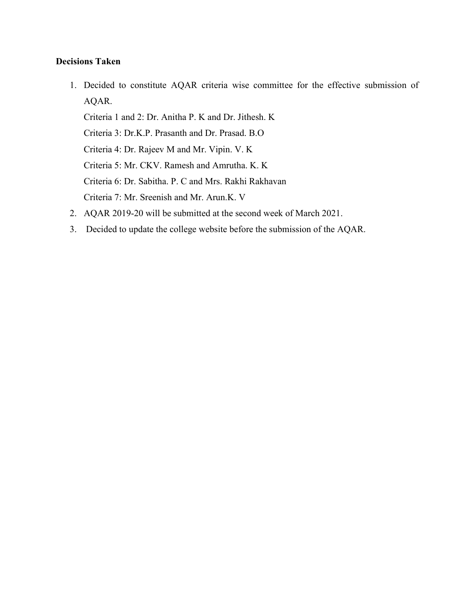### Decisions Taken

1. Decided to constitute AQAR criteria wise committee for the effective submission of AQAR.

Criteria 1 and 2: Dr. Anitha P. K and Dr. Jithesh. K Criteria 3: Dr.K.P. Prasanth and Dr. Prasad. B.O

Criteria 4: Dr. Rajeev M and Mr. Vipin. V. K

Criteria 5: Mr. CKV. Ramesh and Amrutha. K. K

Criteria 6: Dr. Sabitha. P. C and Mrs. Rakhi Rakhavan

Criteria 7: Mr. Sreenish and Mr. Arun.K. V

- 2. AQAR 2019-20 will be submitted at the second week of March 2021.
- 3. Decided to update the college website before the submission of the AQAR.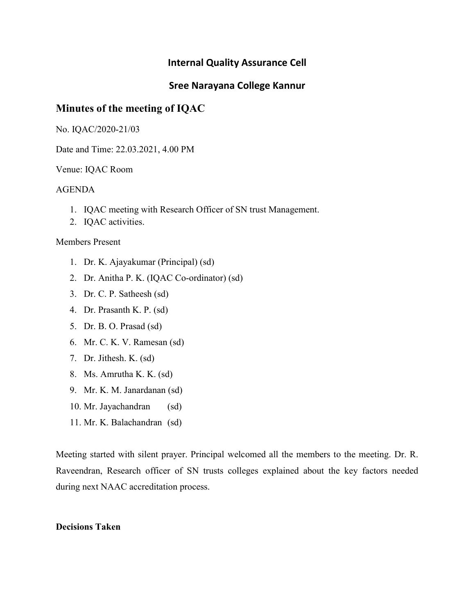## Sree Narayana College Kannur

# Minutes of the meeting of IQAC

No. IQAC/2020-21/03

Date and Time: 22.03.2021, 4.00 PM

Venue: IQAC Room

### AGENDA

- 1. IQAC meeting with Research Officer of SN trust Management.
- 2. IQAC activities.

#### Members Present

- 1. Dr. K. Ajayakumar (Principal) (sd)
- 2. Dr. Anitha P. K. (IQAC Co-ordinator) (sd)
- 3. Dr. C. P. Satheesh (sd)
- 4. Dr. Prasanth K. P. (sd)
- 5. Dr. B. O. Prasad (sd)
- 6. Mr. C. K. V. Ramesan (sd)
- 7. Dr. Jithesh. K. (sd)
- 8. Ms. Amrutha K. K. (sd)
- 9. Mr. K. M. Janardanan (sd)
- 10. Mr. Jayachandran (sd)
- 11. Mr. K. Balachandran (sd)

Meeting started with silent prayer. Principal welcomed all the members to the meeting. Dr. R. Raveendran, Research officer of SN trusts colleges explained about the key factors needed during next NAAC accreditation process.

#### Decisions Taken